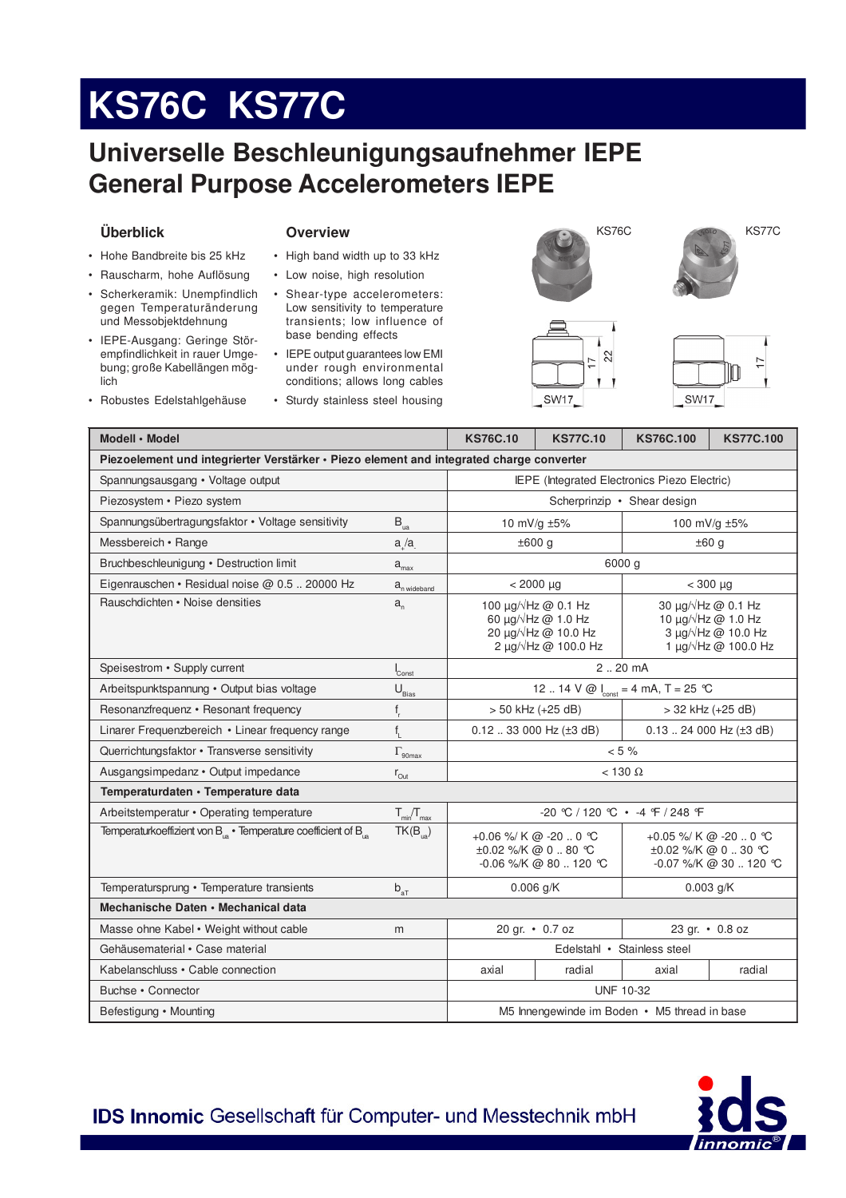# KS76C KS77C

### Universelle Beschleunigungsaufnehmer IEPE **General Purpose Accelerometers IEPE**

### Überblick

#### **Overview**

- Hohe Bandbreite bis 25 kHz
- · Rauscharm, hohe Auflösung
- · Scherkeramik: Unempfindlich gegen Temperaturänderung und Messobjektdehnung
- · IEPE-Ausgang: Geringe Störempfindlichkeit in rauer Umgebung; große Kabellängen möglich
- · Robustes Edelstahlgehäuse
- High band width up to 33 kHz
- Low noise, high resolution
- Shear-type accelerometers: Low sensitivity to temperature transients; low influence of base bending effects
- IEPE output guarantees low EMI under rough environmental conditions; allows long cables
- · Sturdy stainless steel housing



**SW17** 

 $22$ 





| Modell · Model                                                                           |                                                 | <b>KS76C.10</b>                                                                                                     | <b>KS77C.10</b> | <b>KS76C.100</b>                                                                                                               | <b>KS77C.100</b> |  |  |  |  |
|------------------------------------------------------------------------------------------|-------------------------------------------------|---------------------------------------------------------------------------------------------------------------------|-----------------|--------------------------------------------------------------------------------------------------------------------------------|------------------|--|--|--|--|
| Piezoelement und integrierter Verstärker · Piezo element and integrated charge converter |                                                 |                                                                                                                     |                 |                                                                                                                                |                  |  |  |  |  |
| Spannungsausgang • Voltage output                                                        | IEPE (Integrated Electronics Piezo Electric)    |                                                                                                                     |                 |                                                                                                                                |                  |  |  |  |  |
| Piezosystem · Piezo system                                                               |                                                 |                                                                                                                     |                 | Scherprinzip • Shear design                                                                                                    |                  |  |  |  |  |
| Spannungsübertragungsfaktor • Voltage sensitivity                                        | $\mathsf{B}_{\mathsf{ua}}$                      |                                                                                                                     | 10 mV/g ±5%     | 100 mV/g ±5%                                                                                                                   |                  |  |  |  |  |
| Messbereich • Range                                                                      | a/a                                             | ±600 g                                                                                                              |                 | ±60 g                                                                                                                          |                  |  |  |  |  |
| Bruchbeschleunigung · Destruction limit                                                  | $a_{\text{max}}$                                | 6000 g                                                                                                              |                 |                                                                                                                                |                  |  |  |  |  |
| Eigenrauschen • Residual noise @ 0.5  20000 Hz                                           | $a_{n \text{ wideband}}$                        | $< 2000 \mu g$                                                                                                      |                 | $<$ 300 $\mu$ g                                                                                                                |                  |  |  |  |  |
| Rauschdichten • Noise densities                                                          | $a_{n}$                                         | 100 $\mu$ g/ $\sqrt{Hz}$ @ 0.1 Hz<br>60 $\mu$ g/ $\sqrt{Hz}$ @ 1.0 Hz<br>20 µg/√Hz @ 10.0 Hz<br>2 µg/√Hz @ 100.0 Hz |                 | 30 $\mu$ g/ $\sqrt{Hz}$ @ 0.1 Hz<br>10 $\mu$ g/ $\sqrt{Hz}$ @ 1.0 Hz<br>$3 \mu q / \sqrt{Hz}$ @ 10.0 Hz<br>1 µg/√Hz @ 100.0 Hz |                  |  |  |  |  |
| Speisestrom • Supply current                                                             | Const                                           | 220 mA                                                                                                              |                 |                                                                                                                                |                  |  |  |  |  |
| Arbeitspunktspannung · Output bias voltage                                               | $U_{\underline{\text{Bias}}}$                   | 12  14 V @ $\int_{\text{const}}$ = 4 mA, T = 25 °C                                                                  |                 |                                                                                                                                |                  |  |  |  |  |
| Resonanzfrequenz • Resonant frequency                                                    | $f_r$                                           | $> 50$ kHz (+25 dB)                                                                                                 |                 | > 32 kHz (+25 dB)                                                                                                              |                  |  |  |  |  |
| Linarer Frequenzbereich • Linear frequency range                                         | $f_{\parallel}$                                 | $0.12$ 33 000 Hz ( $\pm$ 3 dB)                                                                                      |                 | $0.13$ 24 000 Hz ( $\pm 3$ dB)                                                                                                 |                  |  |  |  |  |
| Querrichtungsfaktor • Transverse sensitivity                                             | $\Gamma_{\rm 90max}$                            | $< 5 \%$                                                                                                            |                 |                                                                                                                                |                  |  |  |  |  |
| Ausgangsimpedanz · Output impedance                                                      | $r_{\text{Out}}$                                | $<$ 130 $\Omega$                                                                                                    |                 |                                                                                                                                |                  |  |  |  |  |
| Temperaturdaten · Temperature data                                                       |                                                 |                                                                                                                     |                 |                                                                                                                                |                  |  |  |  |  |
| Arbeitstemperatur • Operating temperature                                                | $T_{\text{min}}/T_{\text{max}}$                 | $-20$ °C / 120 °C $\cdot$ -4 °F / 248 °F                                                                            |                 |                                                                                                                                |                  |  |  |  |  |
| Temperaturkoeffizient von $B_{1a}$ • Temperature coefficient of $B_{1a}$                 | $TK(B_{\ldots})$                                | +0.06 %/ K @ -20  0 °C<br>±0.02 %/K @ 0 80 °C<br>-0.06 %/K @ 80  120 ℃                                              |                 | +0.05 %/ K @ -20  0 °C<br>$\pm 0.02$ %/K @ 0  30 °C<br>-0.07 %/K @ 30  120 ℃                                                   |                  |  |  |  |  |
| Temperatursprung • Temperature transients                                                | $\mathsf{b}_{\mathsf{a}\underline{\mathsf{T}}}$ | $0.006$ g/K                                                                                                         |                 | $0.003$ g/K                                                                                                                    |                  |  |  |  |  |
| Mechanische Daten • Mechanical data                                                      |                                                 |                                                                                                                     |                 |                                                                                                                                |                  |  |  |  |  |
| Masse ohne Kabel • Weight without cable                                                  | m                                               | 20 gr. • 0.7 oz                                                                                                     |                 | 23 gr. • 0.8 oz                                                                                                                |                  |  |  |  |  |
| Gehäusematerial · Case material                                                          |                                                 | Edelstahl • Stainless steel                                                                                         |                 |                                                                                                                                |                  |  |  |  |  |
| Kabelanschluss • Cable connection                                                        |                                                 | axial                                                                                                               | radial          | axial                                                                                                                          | radial           |  |  |  |  |
| Buchse • Connector                                                                       |                                                 | <b>UNF 10-32</b>                                                                                                    |                 |                                                                                                                                |                  |  |  |  |  |
| Befestigung • Mounting                                                                   | M5 Innengewinde im Boden • M5 thread in base    |                                                                                                                     |                 |                                                                                                                                |                  |  |  |  |  |

IDS Innomic Gesellschaft für Computer- und Messtechnik mbH